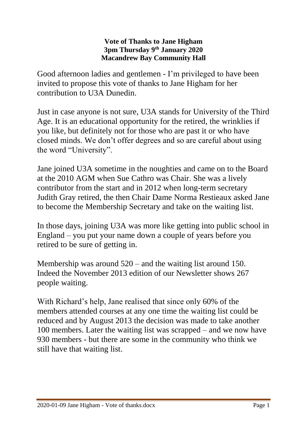## **Vote of Thanks to Jane Higham 3pm Thursday 9th January 2020 Macandrew Bay Community Hall**

Good afternoon ladies and gentlemen - I'm privileged to have been invited to propose this vote of thanks to Jane Higham for her contribution to U3A Dunedin.

Just in case anyone is not sure, U3A stands for University of the Third Age. It is an educational opportunity for the retired, the wrinklies if you like, but definitely not for those who are past it or who have closed minds. We don't offer degrees and so are careful about using the word "University".

Jane joined U3A sometime in the noughties and came on to the Board at the 2010 AGM when Sue Cathro was Chair. She was a lively contributor from the start and in 2012 when long-term secretary Judith Gray retired, the then Chair Dame Norma Restieaux asked Jane to become the Membership Secretary and take on the waiting list.

In those days, joining U3A was more like getting into public school in England – you put your name down a couple of years before you retired to be sure of getting in.

Membership was around 520 – and the waiting list around 150. Indeed the November 2013 edition of our Newsletter shows 267 people waiting.

With Richard's help, Jane realised that since only 60% of the members attended courses at any one time the waiting list could be reduced and by August 2013 the decision was made to take another 100 members. Later the waiting list was scrapped – and we now have 930 members - but there are some in the community who think we still have that waiting list.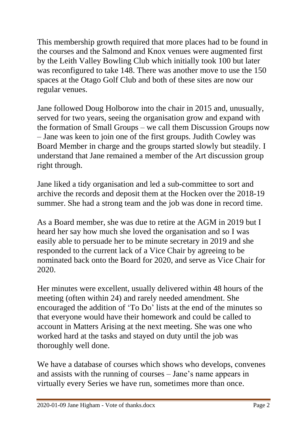This membership growth required that more places had to be found in the courses and the Salmond and Knox venues were augmented first by the Leith Valley Bowling Club which initially took 100 but later was reconfigured to take 148. There was another move to use the 150 spaces at the Otago Golf Club and both of these sites are now our regular venues.

Jane followed Doug Holborow into the chair in 2015 and, unusually, served for two years, seeing the organisation grow and expand with the formation of Small Groups – we call them Discussion Groups now – Jane was keen to join one of the first groups. Judith Cowley was Board Member in charge and the groups started slowly but steadily. I understand that Jane remained a member of the Art discussion group right through.

Jane liked a tidy organisation and led a sub-committee to sort and archive the records and deposit them at the Hocken over the 2018-19 summer. She had a strong team and the job was done in record time.

As a Board member, she was due to retire at the AGM in 2019 but I heard her say how much she loved the organisation and so I was easily able to persuade her to be minute secretary in 2019 and she responded to the current lack of a Vice Chair by agreeing to be nominated back onto the Board for 2020, and serve as Vice Chair for 2020.

Her minutes were excellent, usually delivered within 48 hours of the meeting (often within 24) and rarely needed amendment. She encouraged the addition of 'To Do' lists at the end of the minutes so that everyone would have their homework and could be called to account in Matters Arising at the next meeting. She was one who worked hard at the tasks and stayed on duty until the job was thoroughly well done.

We have a database of courses which shows who develops, convenes and assists with the running of courses – Jane's name appears in virtually every Series we have run, sometimes more than once.